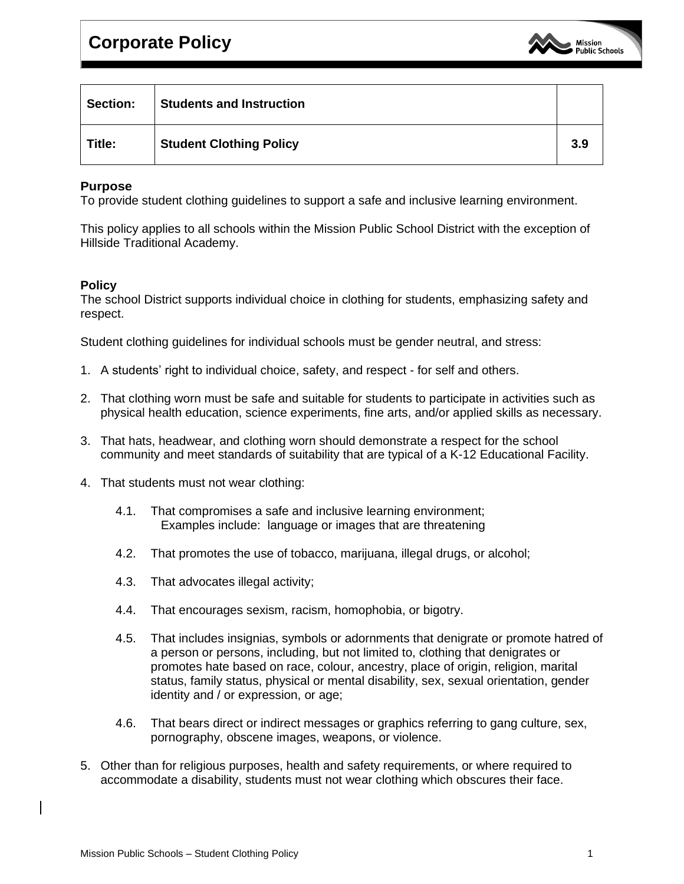

| <b>Section:</b> | <b>Students and Instruction</b> |     |
|-----------------|---------------------------------|-----|
| Title:          | <b>Student Clothing Policy</b>  | 3.9 |

## **Purpose**

To provide student clothing guidelines to support a safe and inclusive learning environment.

This policy applies to all schools within the Mission Public School District with the exception of Hillside Traditional Academy.

## **Policy**

The school District supports individual choice in clothing for students, emphasizing safety and respect.

Student clothing guidelines for individual schools must be gender neutral, and stress:

- 1. A students' right to individual choice, safety, and respect for self and others.
- 2. That clothing worn must be safe and suitable for students to participate in activities such as physical health education, science experiments, fine arts, and/or applied skills as necessary.
- 3. That hats, headwear, and clothing worn should demonstrate a respect for the school community and meet standards of suitability that are typical of a K-12 Educational Facility.
- 4. That students must not wear clothing:
	- 4.1. That compromises a safe and inclusive learning environment; Examples include: language or images that are threatening
	- 4.2. That promotes the use of tobacco, marijuana, illegal drugs, or alcohol;
	- 4.3. That advocates illegal activity;
	- 4.4. That encourages sexism, racism, homophobia, or bigotry.
	- 4.5. That includes insignias, symbols or adornments that denigrate or promote hatred of a person or persons, including, but not limited to, clothing that denigrates or promotes hate based on race, colour, ancestry, place of origin, religion, marital status, family status, physical or mental disability, sex, sexual orientation, gender identity and / or expression, or age;
	- 4.6. That bears direct or indirect messages or graphics referring to gang culture, sex, pornography, obscene images, weapons, or violence.
- 5. Other than for religious purposes, health and safety requirements, or where required to accommodate a disability, students must not wear clothing which obscures their face.